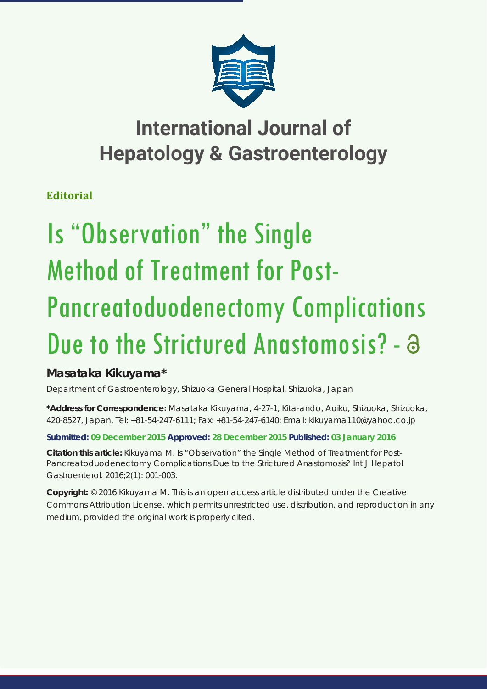

# **International Journal of Hepatology & Gastroenterology**

**Editorial**

# Is "Observation" the Single Method of Treatment for Post-Pancreatoduodenectomy Complications Due to the Strictured Anastomosis? - a

# **Masataka Kikuyama\***

*Department of Gastroenterology, Shizuoka General Hospital, Shizuoka, Japan*

**\*Address for Correspondence:** Masataka Kikuyama, 4-27-1, Kita-ando, Aoiku, Shizuoka, Shizuoka, 420-8527, Japan, Tel: +81-54-247-6111; Fax: +81-54-247-6140; Email: kikuyama110@yahoo.co.jp

## **Submitted: 09 December 2015 Approved: 28 December 2015 Published: 03 January 2016**

**Citation this article:** Kikuyama M. Is "Observation" the Single Method of Treatment for Post-Pancreatoduodenectomy Complications Due to the Strictured Anastomosis? Int J Hepatol Gastroenterol. 2016;2(1): 001-003.

**Copyright:** © 2016 Kikuyama M. This is an open access article distributed under the Creative Commons Attribution License, which permits unrestricted use, distribution, and reproduction in any medium, provided the original work is properly cited.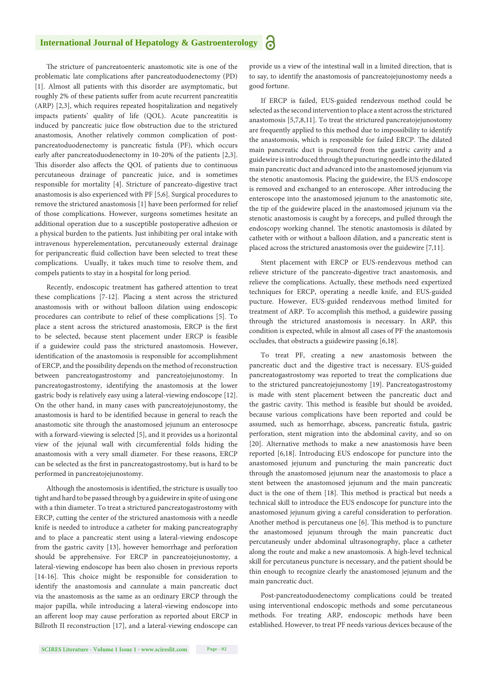#### **International Journal of Hepatology & Gastroenterology** Ъ

The stricture of pancreatoenteric anastomotic site is one of the problematic late complications after pancreatoduodenectomy (PD) [1]. Almost all patients with this disorder are asymptomatic, but roughly 2% of these patients suffer from acute recurrent pancreatitis (ARP) [2,3], which requires repeated hospitalization and negatively impacts patients' quality of life (QOL). Acute pancreatitis is induced by pancreatic juice flow obstruction due to the strictured anastomosis, Another relatively common complication of postpancreatoduodenectomy is pancreatic fistula (PF), which occurs early after pancreatoduodenectomy in 10-20% of the patients [2,3]. This disorder also affects the QOL of patients due to continuous percutaneous drainage of pancreatic juice, and is sometimes responsible for mortality [4]. Stricture of pancreato-digestive tract anastomosis is also experienced with PF [5,6]. Surgical procedures to remove the strictured anastomosis [1] have been performed for relief of those complications. However, surgeons sometimes hesitate an additional operation due to a susceptible postoperative adhesion or a physical burden to the patients. Just inhibiting per oral intake with intravenous hyperelementation, percutaneously external drainage for peripancreatic fluid collection have been selected to treat these complications. Usually, it takes much time to resolve them, and compels patients to stay in a hospital for long period.

Recently, endoscopic treatment has gathered attention to treat these complications [7-12]. Placing a stent across the strictured anastomosis with or without balloon dilation using endoscopic procedures can contribute to relief of these complications [5]. To place a stent across the strictured anastomosis, ERCP is the first to be selected, because stent placement under ERCP is feasible if a guidewire could pass the strictured anastomosis. However, identification of the anastomosis is responsible for accomplishment of ERCP, and the possibility depends on the method of reconstruction between pancreatogastrostomy and pancreatojejunostomy. In pancreatogastrostomy, identifying the anastomosis at the lower gastric body is relatively easy using a lateral-viewing endoscope [12]. On the other hand, in many cases with pancreatojejunostomy, the anastomosis is hard to be identified because in general to reach the anastomotic site through the anastomosed jejunum an enterosocpe with a forward-viewing is selected [5], and it provides us a horizontal view of the jejunal wall with circumferential folds hiding the anastomosis with a very small diameter. For these reasons, ERCP can be selected as the first in pancreatogastrostomy, but is hard to be performed in pancreatojejunostomy.

Although the anostomosis is identified, the stricture is usually too tight and hard to be passed through by a guidewire in spite of using one with a thin diameter. To treat a strictured pancreatogastrostomy with ERCP, cutting the center of the strictured anastomosis with a needle knife is needed to introduce a catheter for making pancreatography and to place a pancreatic stent using a lateral-viewing endoscope from the gastric cavity [13], however hemorrhage and perforation should be apprehensive. For ERCP in pancreatojejunostomy, a lateral-viewing endoscope has been also chosen in previous reports [14-16]. This choice might be responsible for consideration to identify the anastomosis and cannulate a main pancreatic duct via the anastomosis as the same as an ordinary ERCP through the major papilla, while introducing a lateral-viewing endoscope into an afferent loop may cause perforation as reported about ERCP in Billroth II reconstruction [17], and a lateral-viewing endoscope can provide us a view of the intestinal wall in a limited direction, that is to say, to identify the anastomosis of pancreatojejunostomy needs a good fortune.

If ERCP is failed, EUS-guided rendezvous method could be selected as the second intervention to place a stent across the strictured anastomosis [5,7,8,11]. To treat the strictured pancreatojejunostomy are frequently applied to this method due to impossibility to identify the anastomosis, which is responsible for failed ERCP. The dilated main pancreatic duct is punctured from the gastric cavity and a guidewire is introduced through the puncturing needle into the dilated main pancreatic duct and advanced into the anastomosed jejunum via the stenotic anastomosis. Placing the guidewire, the EUS endoscope is removed and exchanged to an enteroscope. After introducing the enteroscope into the anastomosed jejunum to the anastomotic site, the tip of the guidewire placed in the anastomosed jejunum via the stenotic anastomosis is caught by a foreceps, and pulled through the endoscopy working channel. The stenotic anastomosis is dilated by catheter with or without a balloon dilation, and a pancreatic stent is placed across the strictured anastomosis over the guidewire [7,11].

Stent placement with ERCP or EUS-rendezvous method can relieve stricture of the pancreato-digestive tract anastomosis, and relieve the complications. Actually, these methods need expertized techniques for ERCP, operating a needle knife, and EUS-guided pucture. However, EUS-guided rendezvous method limited for treatment of ARP. To accomplish this method, a guidewire passing through the strictured anastomosis is necessary. In ARP, this condition is expected, while in almost all cases of PF the anastomosis occludes, that obstructs a guidewire passing [6,18].

To treat PF, creating a new anastomosis between the pancreatic duct and the digestive tract is necessary. EUS-guided pancreatogastrostomy was reported to treat the complications due to the strictured pancreatojejunostomy [19]. Pancreatogastrostomy is made with stent placement between the pancreatic duct and the gastric cavity. This method is feasible but should be avoided, because various complications have been reported and could be assumed, such as hemorrhage, abscess, pancreatic fistula, gastric perforation, stent migration into the abdominal cavity, and so on [20]. Alternative methods to make a new anastomosis have been reported [6,18]. Introducing EUS endoscope for puncture into the anastomosed jejunum and puncturing the main pancreatic duct through the anastomosed jejunum near the anastomosis to place a stent between the anastomosed jejunum and the main pancreatic duct is the one of them [18]. This method is practical but needs a technical skill to introduce the EUS endoscope for puncture into the anastomosed jejunum giving a careful consideration to perforation. Another method is percutaneus one [6]. This method is to puncture the anastomosed jejunum through the main pancreatic duct percutaneusly under abdominal ultrasonography, place a catheter along the route and make a new anastomosis. A high-level technical skill for percutaneus puncture is necessary, and the patient should be thin enough to recognize clearly the anastomosed jejunum and the main pancreatic duct.

Post-pancreatoduodenectomy complications could be treated using interventional endoscopic methods and some percutaneous methods. For treating ARP, endoscopic methods have been established. However, to treat PF needs various devices because of the